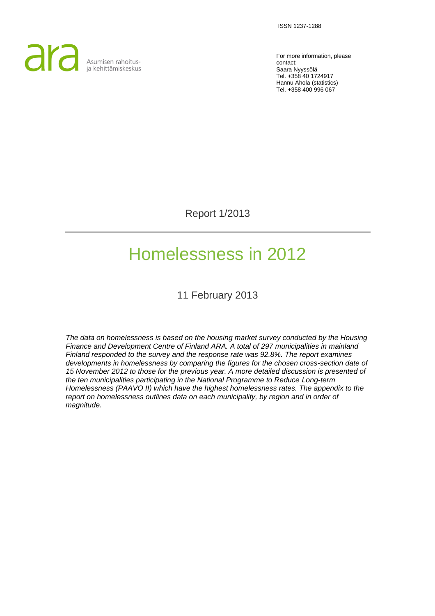ISSN 1237-1288



For more information, please contact: Saara Nyyssölä Tel. +358 40 1724917 Hannu Ahola (statistics) Tel. +358 400 996 067

Report 1/2013

# Homelessness in 2012

11 February 2013

*The data on homelessness is based on the housing market survey conducted by the Housing Finance and Development Centre of Finland ARA. A total of 297 municipalities in mainland Finland responded to the survey and the response rate was 92.8%. The report examines developments in homelessness by comparing the figures for the chosen cross-section date of 15 November 2012 to those for the previous year. A more detailed discussion is presented of the ten municipalities participating in the National Programme to Reduce Long-term Homelessness (PAAVO II) which have the highest homelessness rates. The appendix to the report on homelessness outlines data on each municipality, by region and in order of magnitude.*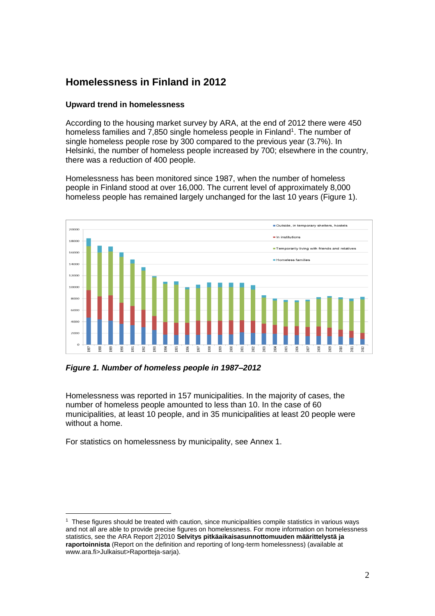# **Homelessness in Finland in 2012**

## **Upward trend in homelessness**

According to the housing market survey by ARA, at the end of 2012 there were 450 homeless families and 7,850 single homeless people in Finland<sup>1</sup>. The number of single homeless people rose by 300 compared to the previous year (3.7%). In Helsinki, the number of homeless people increased by 700; elsewhere in the country, there was a reduction of 400 people.

Homelessness has been monitored since 1987, when the number of homeless people in Finland stood at over 16,000. The current level of approximately 8,000 homeless people has remained largely unchanged for the last 10 years (Figure 1).



*Figure 1. Number of homeless people in 1987–2012*

Homelessness was reported in 157 municipalities. In the majority of cases, the number of homeless people amounted to less than 10. In the case of 60 municipalities, at least 10 people, and in 35 municipalities at least 20 people were without a home.

For statistics on homelessness by municipality, see Annex 1.

 $\overline{a}$ 1 These figures should be treated with caution, since municipalities compile statistics in various ways and not all are able to provide precise figures on homelessness. For more information on homelessness statistics, see the ARA Report 2|2010 **Selvitys pitkäaikaisasunnottomuuden määrittelystä ja raportoinnista** (Report on the definition and reporting of long-term homelessness) (available at www.ara.fi>Julkaisut>Raportteja-sarja).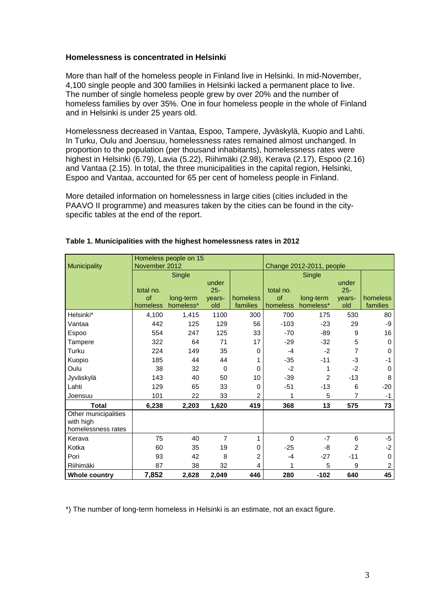## **Homelessness is concentrated in Helsinki**

More than half of the homeless people in Finland live in Helsinki. In mid-November, 4,100 single people and 300 families in Helsinki lacked a permanent place to live. The number of single homeless people grew by over 20% and the number of homeless families by over 35%. One in four homeless people in the whole of Finland and in Helsinki is under 25 years old.

Homelessness decreased in Vantaa, Espoo, Tampere, Jyväskylä, Kuopio and Lahti. In Turku, Oulu and Joensuu, homelessness rates remained almost unchanged. In proportion to the population (per thousand inhabitants), homelessness rates were highest in Helsinki (6.79), Lavia (5.22), Riihimäki (2.98), Kerava (2.17), Espoo (2.16) and Vantaa (2.15). In total, the three municipalities in the capital region, Helsinki, Espoo and Vantaa, accounted for 65 per cent of homeless people in Finland.

More detailed information on homelessness in large cities (cities included in the PAAVO II programme) and measures taken by the cities can be found in the cityspecific tables at the end of the report.

| Municipality                                            | November 2012 | Homeless people on 15 |                |                |           | Change 2012-2011, people |        |                |
|---------------------------------------------------------|---------------|-----------------------|----------------|----------------|-----------|--------------------------|--------|----------------|
|                                                         |               | Single                |                |                | Single    |                          |        |                |
|                                                         |               |                       | under          |                |           |                          | under  |                |
|                                                         | total no.     |                       | $25 -$         |                | total no. |                          | $25 -$ |                |
|                                                         | $\circ$ f     | long-term             | years-         | homeless       | of        | long-term                | years- | homeless       |
|                                                         | homeless      | homeless*             | old            | families       | homeless  | homeless*                | old    | families       |
| Helsinki*                                               | 4,100         | 1,415                 | 1100           | 300            | 700       | 175                      | 530    | 80             |
| Vantaa                                                  | 442           | 125                   | 129            | 56             | $-103$    | $-23$                    | 29     | -9             |
| <b>Espoo</b>                                            | 554           | 247                   | 125            | 33             | $-70$     | -89                      | 9      | 16             |
| Tampere                                                 | 322           | 64                    | 71             | 17             | $-29$     | $-32$                    | 5      | $\mathbf 0$    |
| Turku                                                   | 224           | 149                   | 35             | 0              | $-4$      | $-2$                     | 7      | $\mathbf 0$    |
| Kuopio                                                  | 185           | 44                    | 44             | 1              | $-35$     | $-11$                    | -3     | $-1$           |
| Oulu                                                    | 38            | 32                    | 0              | 0              | $-2$      | 1                        | $-2$   | $\mathbf 0$    |
| Jyväskylä                                               | 143           | 40                    | 50             | 10             | $-39$     | $\overline{2}$           | $-13$  | 8              |
| Lahti                                                   | 129           | 65                    | 33             | 0              | $-51$     | $-13$                    | 6      | $-20$          |
| Joensuu                                                 | 101           | 22                    | 33             | $\overline{c}$ | 1         | 5                        | 7      | $-1$           |
| <b>Total</b>                                            | 6,238         | 2,203                 | 1,620          | 419            | 368       | 13                       | 575    | 73             |
| Other municipalities<br>with high<br>homelessness rates |               |                       |                |                |           |                          |        |                |
| Kerava                                                  | 75            | 40                    | $\overline{7}$ | 1              | $\Omega$  | $-7$                     | 6      | $-5$           |
| Kotka                                                   | 60            | 35                    | 19             | 0              | $-25$     | -8                       | 2      | $-2$           |
| Pori                                                    | 93            | 42                    | 8              | 2              | $-4$      | $-27$                    | $-11$  | $\mathbf 0$    |
| Riihimäki                                               | 87            | 38                    | 32             | 4              | 1         | 5                        | 9      | $\overline{c}$ |
| <b>Whole country</b>                                    | 7,852         | 2,628                 | 2,049          | 446            | 280       | $-102$                   | 640    | 45             |

#### **Table 1. Municipalities with the highest homelessness rates in 2012**

\*) The number of long-term homeless in Helsinki is an estimate, not an exact figure.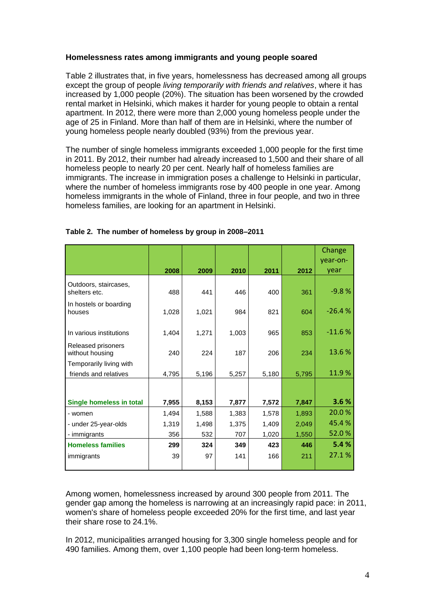## **Homelessness rates among immigrants and young people soared**

Table 2 illustrates that, in five years, homelessness has decreased among all groups except the group of people *living temporarily with friends and relatives*, where it has increased by 1,000 people (20%). The situation has been worsened by the crowded rental market in Helsinki, which makes it harder for young people to obtain a rental apartment. In 2012, there were more than 2,000 young homeless people under the age of 25 in Finland. More than half of them are in Helsinki, where the number of young homeless people nearly doubled (93%) from the previous year.

The number of single homeless immigrants exceeded 1,000 people for the first time in 2011. By 2012, their number had already increased to 1,500 and their share of all homeless people to nearly 20 per cent. Nearly half of homeless families are immigrants. The increase in immigration poses a challenge to Helsinki in particular, where the number of homeless immigrants rose by 400 people in one year. Among homeless immigrants in the whole of Finland, three in four people, and two in three homeless families, are looking for an apartment in Helsinki.

|                                        |       |       |       |       |       | Change   |
|----------------------------------------|-------|-------|-------|-------|-------|----------|
|                                        |       |       |       |       |       | year-on- |
|                                        | 2008  | 2009  | 2010  | 2011  | 2012  | year     |
| Outdoors, staircases,<br>shelters etc. | 488   | 441   | 446   | 400   | 361   | $-9.8%$  |
| In hostels or boarding<br>houses       | 1,028 | 1,021 | 984   | 821   | 604   | $-26.4%$ |
| In various institutions                | 1,404 | 1,271 | 1,003 | 965   | 853   | $-11.6%$ |
| Released prisoners<br>without housing  | 240   | 224   | 187   | 206   | 234   | 13.6%    |
| Temporarily living with                |       |       |       |       |       |          |
| friends and relatives                  | 4,795 | 5,196 | 5,257 | 5,180 | 5,795 | 11.9%    |
|                                        |       |       |       |       |       |          |
| Single homeless in total               | 7,955 | 8,153 | 7,877 | 7,572 | 7,847 | 3.6%     |
| - women                                | 1,494 | 1,588 | 1,383 | 1,578 | 1,893 | 20.0 %   |
| - under 25-year-olds                   | 1,319 | 1,498 | 1,375 | 1,409 | 2,049 | 45.4%    |
| - immigrants                           | 356   | 532   | 707   | 1,020 | 1,550 | 52.0%    |
| <b>Homeless families</b>               | 299   | 324   | 349   | 423   | 446   | 5.4%     |
| immigrants                             | 39    | 97    | 141   | 166   | 211   | 27.1%    |

## **Table 2. The number of homeless by group in 2008–2011**

Among women, homelessness increased by around 300 people from 2011. The gender gap among the homeless is narrowing at an increasingly rapid pace: in 2011, women's share of homeless people exceeded 20% for the first time, and last year their share rose to 24.1%.

In 2012, municipalities arranged housing for 3,300 single homeless people and for 490 families. Among them, over 1,100 people had been long-term homeless.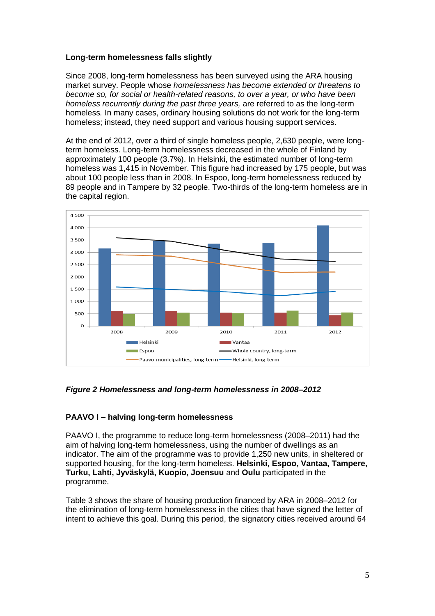## **Long-term homelessness falls slightly**

Since 2008, long-term homelessness has been surveyed using the ARA housing market survey. People whose *homelessness has become extended or threatens to become so, for social or health-related reasons, to over a year, or who have been homeless recurrently during the past three years, are referred to as the long-term* homeless*.* In many cases, ordinary housing solutions do not work for the long-term homeless; instead, they need support and various housing support services.

At the end of 2012, over a third of single homeless people, 2,630 people, were longterm homeless. Long-term homelessness decreased in the whole of Finland by approximately 100 people (3.7%). In Helsinki, the estimated number of long-term homeless was 1,415 in November. This figure had increased by 175 people, but was about 100 people less than in 2008. In Espoo, long-term homelessness reduced by 89 people and in Tampere by 32 people. Two-thirds of the long-term homeless are in the capital region.



*Figure 2 Homelessness and long-term homelessness in 2008–2012* 

## **PAAVO I – halving long-term homelessness**

PAAVO I, the programme to reduce long-term homelessness (2008–2011) had the aim of halving long-term homelessness, using the number of dwellings as an indicator. The aim of the programme was to provide 1,250 new units, in sheltered or supported housing, for the long-term homeless. **Helsinki, Espoo, Vantaa, Tampere, Turku, Lahti, Jyväskylä, Kuopio, Joensuu** and **Oulu** participated in the programme.

Table 3 shows the share of housing production financed by ARA in 2008–2012 for the elimination of long-term homelessness in the cities that have signed the letter of intent to achieve this goal. During this period, the signatory cities received around 64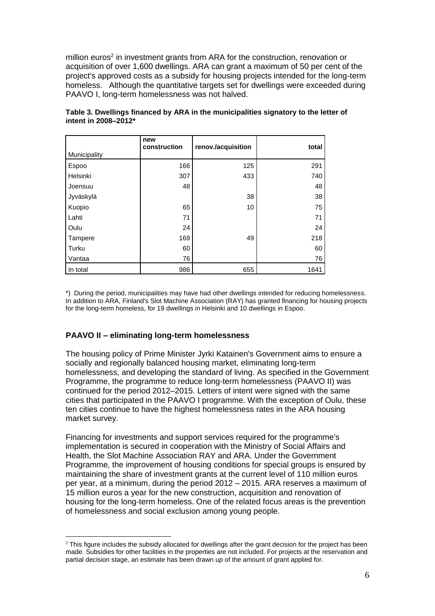million euros<sup>2</sup> in investment grants from ARA for the construction, renovation or acquisition of over 1,600 dwellings. ARA can grant a maximum of 50 per cent of the project's approved costs as a subsidy for housing projects intended for the long-term homeless. Although the quantitative targets set for dwellings were exceeded during PAAVO I, long-term homelessness was not halved.

| Municipality | new<br>construction | renov./acquisition | total |
|--------------|---------------------|--------------------|-------|
| Espoo        | 166                 | 125                | 291   |
| Helsinki     | 307                 | 433                | 740   |
| Joensuu      | 48                  |                    | 48    |
| Jyväskylä    |                     | 38                 | 38    |
| Kuopio       | 65                  | 10                 | 75    |
| Lahti        | 71                  |                    | 71    |
| Oulu         | 24                  |                    | 24    |
| Tampere      | 169                 | 49                 | 218   |
| Turku        | 60                  |                    | 60    |
| Vantaa       | 76                  |                    | 76    |
| In total     | 986                 | 655                | 1641  |

**Table 3. Dwellings financed by ARA in the municipalities signatory to the letter of intent in 2008–2012\***

\*) During the period, municipalities may have had other dwellings intended for reducing homelessness. In addition to ARA, Finland's Slot Machine Association (RAY) has granted financing for housing projects for the long-term homeless, for 19 dwellings in Helsinki and 10 dwellings in Espoo.

## **PAAVO II – eliminating long-term homelessness**

 $\overline{a}$ 

The housing policy of Prime Minister Jyrki Katainen's Government aims to ensure a socially and regionally balanced housing market, eliminating long-term homelessness, and developing the standard of living. As specified in the Government Programme, the programme to reduce long-term homelessness (PAAVO II) was continued for the period 2012–2015. Letters of intent were signed with the same cities that participated in the PAAVO I programme. With the exception of Oulu, these ten cities continue to have the highest homelessness rates in the ARA housing market survey.

Financing for investments and support services required for the programme's implementation is secured in cooperation with the Ministry of Social Affairs and Health, the Slot Machine Association RAY and ARA. Under the Government Programme, the improvement of housing conditions for special groups is ensured by maintaining the share of investment grants at the current level of 110 million euros per year, at a minimum, during the period 2012 – 2015. ARA reserves a maximum of 15 million euros a year for the new construction, acquisition and renovation of housing for the long-term homeless. One of the related focus areas is the prevention of homelessness and social exclusion among young people.

<sup>&</sup>lt;sup>2</sup> This figure includes the subsidy allocated for dwellings after the grant decision for the project has been made. Subsidies for other facilities in the properties are not included. For projects at the reservation and partial decision stage, an estimate has been drawn up of the amount of grant applied for.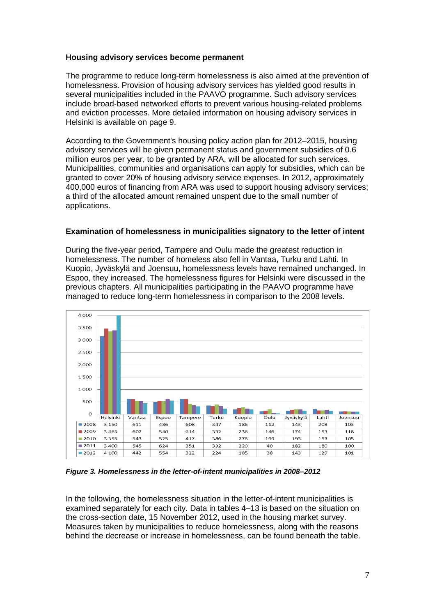## **Housing advisory services become permanent**

The programme to reduce long-term homelessness is also aimed at the prevention of homelessness. Provision of housing advisory services has yielded good results in several municipalities included in the PAAVO programme. Such advisory services include broad-based networked efforts to prevent various housing-related problems and eviction processes. More detailed information on housing advisory services in Helsinki is available on page 9.

According to the Government's housing policy action plan for 2012–2015, housing advisory services will be given permanent status and government subsidies of 0.6 million euros per year, to be granted by ARA, will be allocated for such services. Municipalities, communities and organisations can apply for subsidies, which can be granted to cover 20% of housing advisory service expenses. In 2012, approximately 400,000 euros of financing from ARA was used to support housing advisory services; a third of the allocated amount remained unspent due to the small number of applications.

## **Examination of homelessness in municipalities signatory to the letter of intent**

During the five-year period, Tampere and Oulu made the greatest reduction in homelessness. The number of homeless also fell in Vantaa, Turku and Lahti. In Kuopio, Jyväskylä and Joensuu, homelessness levels have remained unchanged. In Espoo, they increased. The homelessness figures for Helsinki were discussed in the previous chapters. All municipalities participating in the PAAVO programme have managed to reduce long-term homelessness in comparison to the 2008 levels.



*Figure 3. Homelessness in the letter-of-intent municipalities in 2008–2012* 

In the following, the homelessness situation in the letter-of-intent municipalities is examined separately for each city. Data in tables 4–13 is based on the situation on the cross-section date, 15 November 2012, used in the housing market survey. Measures taken by municipalities to reduce homelessness, along with the reasons behind the decrease or increase in homelessness, can be found beneath the table.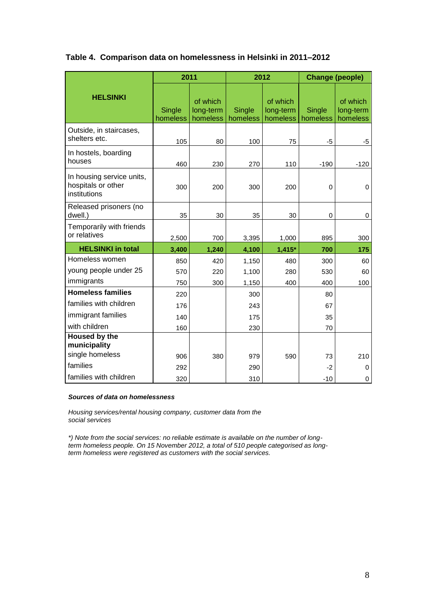|                                                                 | 2011               |                                   |                    | 2012                              |                    | <b>Change (people)</b>            |
|-----------------------------------------------------------------|--------------------|-----------------------------------|--------------------|-----------------------------------|--------------------|-----------------------------------|
| <b>HELSINKI</b>                                                 | Single<br>homeless | of which<br>long-term<br>homeless | Single<br>homeless | of which<br>long-term<br>homeless | Single<br>homeless | of which<br>long-term<br>homeless |
| Outside, in staircases,<br>shelters etc.                        | 105                | 80                                | 100                | 75                                | -5                 | -5                                |
| In hostels, boarding<br>houses                                  | 460                | 230                               | 270                | 110                               | $-190$             | $-120$                            |
| In housing service units,<br>hospitals or other<br>institutions | 300                | 200                               | 300                | 200                               | 0                  | $\mathbf 0$                       |
| Released prisoners (no<br>dwell.)                               | 35                 | 30                                | 35                 | 30                                | 0                  | 0                                 |
| Temporarily with friends<br>or relatives                        | 2,500              | 700                               | 3,395              | 1,000                             | 895                | 300                               |
| <b>HELSINKI in total</b>                                        | 3,400              | 1,240                             | 4,100              | $1,415*$                          | 700                | 175                               |
| Homeless women                                                  | 850                | 420                               | 1,150              | 480                               | 300                | 60                                |
| young people under 25                                           | 570                | 220                               | 1,100              | 280                               | 530                | 60                                |
| immigrants                                                      | 750                | 300                               | 1,150              | 400                               | 400                | 100                               |
| <b>Homeless families</b>                                        | 220                |                                   | 300                |                                   | 80                 |                                   |
| families with children                                          | 176                |                                   | 243                |                                   | 67                 |                                   |
| immigrant families                                              | 140                |                                   | 175                |                                   | 35                 |                                   |
| with children                                                   | 160                |                                   | 230                |                                   | 70                 |                                   |
| Housed by the<br>municipality                                   |                    |                                   |                    |                                   |                    |                                   |
| single homeless                                                 | 906                | 380                               | 979                | 590                               | 73                 | 210                               |
| families                                                        | 292                |                                   | 290                |                                   | -2                 | 0                                 |
| families with children                                          | 320                |                                   | 310                |                                   | $-10$              | 0                                 |

## **Table 4. Comparison data on homelessness in Helsinki in 2011–2012**

#### *Sources of data on homelessness*

*Housing services/rental housing company, customer data from the social services*

*\*) Note from the social services: no reliable estimate is available on the number of longterm homeless people. On 15 November 2012, a total of 510 people categorised as longterm homeless were registered as customers with the social services.*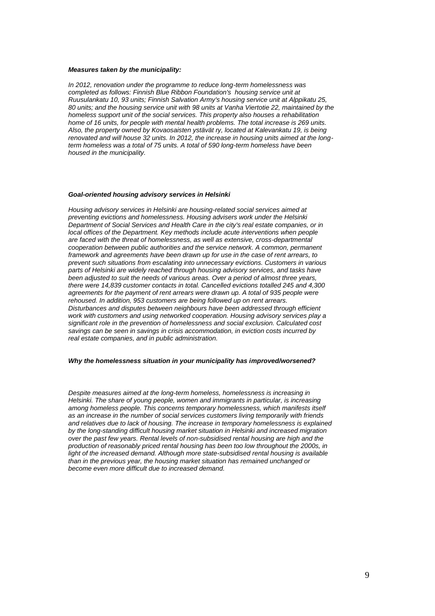#### *Measures taken by the municipality:*

*In 2012, renovation under the programme to reduce long-term homelessness was completed as follows: Finnish Blue Ribbon Foundation's housing service unit at Ruusulankatu 10, 93 units; Finnish Salvation Army's housing service unit at Alppikatu 25, 80 units; and the housing service unit with 98 units at Vanha Viertotie 22, maintained by the homeless support unit of the social services. This property also houses a rehabilitation home of 16 units, for people with mental health problems. The total increase is 269 units. Also, the property owned by Kovaosaisten ystävät ry, located at Kalevankatu 19, is being renovated and will house 32 units. In 2012, the increase in housing units aimed at the longterm homeless was a total of 75 units. A total of 590 long-term homeless have been housed in the municipality.*

#### *Goal-oriented housing advisory services in Helsinki*

*Housing advisory services in Helsinki are housing-related social services aimed at preventing evictions and homelessness. Housing advisers work under the Helsinki Department of Social Services and Health Care in the city's real estate companies, or in local offices of the Department. Key methods include acute interventions when people are faced with the threat of homelessness, as well as extensive, cross-departmental cooperation between public authorities and the service network. A common, permanent framework and agreements have been drawn up for use in the case of rent arrears, to prevent such situations from escalating into unnecessary evictions. Customers in various parts of Helsinki are widely reached through housing advisory services, and tasks have been adjusted to suit the needs of various areas. Over a period of almost three years, there were 14,839 customer contacts in total. Cancelled evictions totalled 245 and 4,300 agreements for the payment of rent arrears were drawn up. A total of 935 people were rehoused. In addition, 953 customers are being followed up on rent arrears. Disturbances and disputes between neighbours have been addressed through efficient work with customers and using networked cooperation. Housing advisory services play a significant role in the prevention of homelessness and social exclusion. Calculated cost savings can be seen in savings in crisis accommodation, in eviction costs incurred by real estate companies, and in public administration.*

#### *Why the homelessness situation in your municipality has improved/worsened?*

*Despite measures aimed at the long-term homeless, homelessness is increasing in Helsinki. The share of young people, women and immigrants in particular, is increasing among homeless people. This concerns temporary homelessness, which manifests itself as an increase in the number of social services customers living temporarily with friends and relatives due to lack of housing. The increase in temporary homelessness is explained by the long-standing difficult housing market situation in Helsinki and increased migration over the past few years. Rental levels of non-subsidised rental housing are high and the production of reasonably priced rental housing has been too low throughout the 2000s, in*  light of the increased demand. Although more state-subsidised rental housing is available *than in the previous year, the housing market situation has remained unchanged or become even more difficult due to increased demand.*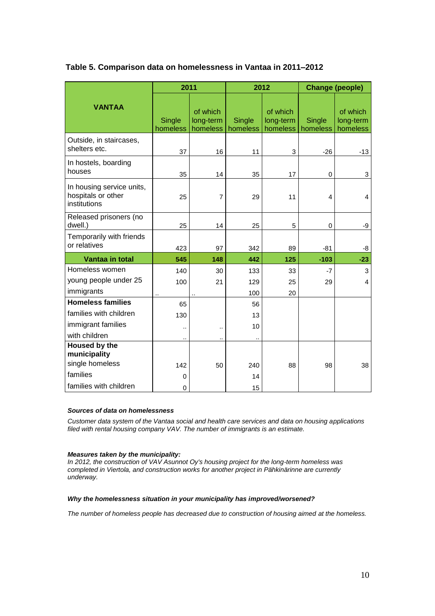|                                                                 | 2011                 |                                   |                    | 2012                              |                    | <b>Change (people)</b>            |
|-----------------------------------------------------------------|----------------------|-----------------------------------|--------------------|-----------------------------------|--------------------|-----------------------------------|
| <b>VANTAA</b>                                                   | Single<br>homeless   | of which<br>long-term<br>homeless | Single<br>homeless | of which<br>long-term<br>homeless | Single<br>homeless | of which<br>long-term<br>homeless |
| Outside, in staircases,<br>shelters etc.                        | 37                   | 16                                | 11                 | 3                                 | $-26$              | $-13$                             |
| In hostels, boarding<br>houses                                  | 35                   | 14                                | 35                 | 17                                | 0                  | 3                                 |
| In housing service units,<br>hospitals or other<br>institutions | 25                   | 7                                 | 29                 | 11                                | 4                  | 4                                 |
| Released prisoners (no<br>dwell.)                               | 25                   | 14                                | 25                 | 5                                 | $\mathbf 0$        | -9                                |
| Temporarily with friends<br>or relatives                        | 423                  | 97                                | 342                | 89                                | -81                | -8                                |
| Vantaa in total                                                 | 545                  | 148                               | 442                | 125                               | $-103$             | $-23$                             |
| Homeless women                                                  | 140                  | 30                                | 133                | 33                                | $-7$               | 3                                 |
| young people under 25                                           | 100                  | 21                                | 129                | 25                                | 29                 | 4                                 |
| immigrants                                                      |                      |                                   | 100                | 20                                |                    |                                   |
| <b>Homeless families</b>                                        | 65                   |                                   | 56                 |                                   |                    |                                   |
| families with children                                          | 130                  |                                   | 13                 |                                   |                    |                                   |
| immigrant families                                              |                      |                                   | 10                 |                                   |                    |                                   |
| with children                                                   | $\ddot{\phantom{a}}$ |                                   |                    |                                   |                    |                                   |
| Housed by the<br>municipality                                   |                      |                                   |                    |                                   |                    |                                   |
| single homeless                                                 | 142                  | 50                                | 240                | 88                                | 98                 | 38                                |
| families                                                        | 0                    |                                   | 14                 |                                   |                    |                                   |
| families with children                                          | $\mathbf 0$          |                                   | 15                 |                                   |                    |                                   |

## **Table 5. Comparison data on homelessness in Vantaa in 2011–2012**

#### *Sources of data on homelessness*

*Customer data system of the Vantaa social and health care services and data on housing applications filed with rental housing company VAV. The number of immigrants is an estimate.*

### *Measures taken by the municipality:*

*In 2012, the construction of VAV Asunnot Oy's housing project for the long-term homeless was completed in Viertola, and construction works for another project in Pähkinärinne are currently underway.*

#### *Why the homelessness situation in your municipality has improved/worsened?*

*The number of homeless people has decreased due to construction of housing aimed at the homeless.*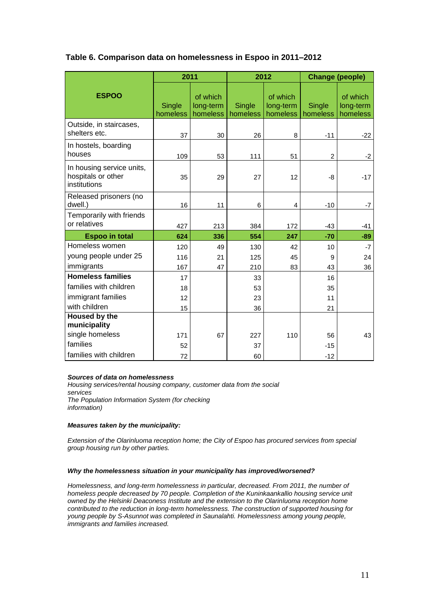| Table 6. Comparison data on homelessness in Espoo in 2011–2012 |
|----------------------------------------------------------------|
|                                                                |

|                                                                 | 2011               |                                   | 2012               |                                   | <b>Change (people)</b> |                                   |
|-----------------------------------------------------------------|--------------------|-----------------------------------|--------------------|-----------------------------------|------------------------|-----------------------------------|
| <b>ESPOO</b>                                                    | Single<br>homeless | of which<br>long-term<br>homeless | Single<br>homeless | of which<br>long-term<br>homeless | Single<br>homeless     | of which<br>long-term<br>homeless |
| Outside, in staircases,<br>shelters etc.                        | 37                 | 30                                | 26                 | 8                                 | $-11$                  | $-22$                             |
| In hostels, boarding<br>houses                                  | 109                | 53                                | 111                | 51                                | $\overline{c}$         | $-2$                              |
| In housing service units,<br>hospitals or other<br>institutions | 35                 | 29                                | 27                 | 12                                | -8                     | $-17$                             |
| Released prisoners (no<br>dwell.)                               | 16                 | 11                                | 6                  | $\overline{4}$                    | $-10$                  | $-7$                              |
| Temporarily with friends<br>or relatives                        | 427                | 213                               | 384                | 172                               | $-43$                  | $-41$                             |
| <b>Espoo in total</b>                                           | 624                | 336                               | 554                | 247                               | $-70$                  | $-89$                             |
| Homeless women                                                  | 120                | 49                                | 130                | 42                                | 10                     | $-7$                              |
| young people under 25                                           | 116                | 21                                | 125                | 45                                | 9                      | 24                                |
| immigrants                                                      | 167                | 47                                | 210                | 83                                | 43                     | 36                                |
| <b>Homeless families</b>                                        | 17                 |                                   | 33                 |                                   | 16                     |                                   |
| families with children                                          | 18                 |                                   | 53                 |                                   | 35                     |                                   |
| immigrant families                                              | 12                 |                                   | 23                 |                                   | 11                     |                                   |
| with children                                                   | 15                 |                                   | 36                 |                                   | 21                     |                                   |
| Housed by the<br>municipality                                   |                    |                                   |                    |                                   |                        |                                   |
| single homeless                                                 | 171                | 67                                | 227                | 110                               | 56                     | 43                                |
| families                                                        | 52                 |                                   | 37                 |                                   | $-15$                  |                                   |
| families with children                                          | 72                 |                                   | 60                 |                                   | $-12$                  |                                   |

#### *Sources of data on homelessness*

*Housing services/rental housing company, customer data from the social services The Population Information System (for checking information)*

#### *Measures taken by the municipality:*

*Extension of the Olarinluoma reception home; the City of Espoo has procured services from special group housing run by other parties.*

#### *Why the homelessness situation in your municipality has improved/worsened?*

*Homelessness, and long-term homelessness in particular, decreased. From 2011, the number of homeless people decreased by 70 people. Completion of the Kuninkaankallio housing service unit owned by the Helsinki Deaconess Institute and the extension to the Olarinluoma reception home contributed to the reduction in long-term homelessness. The construction of supported housing for young people by S-Asunnot was completed in Saunalahti. Homelessness among young people, immigrants and families increased.*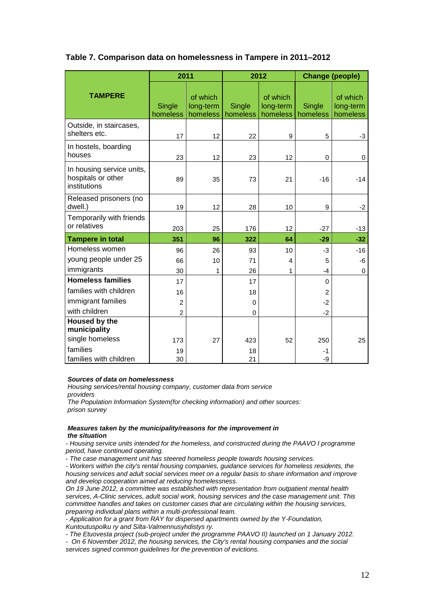|                                                                 | 2011               |                                   |                    | 2012                              |                    | <b>Change (people)</b>            |
|-----------------------------------------------------------------|--------------------|-----------------------------------|--------------------|-----------------------------------|--------------------|-----------------------------------|
| <b>TAMPERE</b>                                                  | Single<br>homeless | of which<br>long-term<br>homeless | Single<br>homeless | of which<br>long-term<br>homeless | Single<br>homeless | of which<br>long-term<br>homeless |
| Outside, in staircases,<br>shelters etc.                        | 17                 | 12                                | 22                 | 9                                 | 5                  | $-3$                              |
| In hostels, boarding<br>houses                                  | 23                 | 12                                | 23                 | 12                                | 0                  | 0                                 |
| In housing service units,<br>hospitals or other<br>institutions | 89                 | 35                                | 73                 | 21                                | $-16$              | $-14$                             |
| Released prisoners (no<br>dwell.)                               | 19                 | 12                                | 28                 | 10                                | 9                  | $-2$                              |
| Temporarily with friends<br>or relatives                        | 203                | 25                                | 176                | 12                                | $-27$              | $-13$                             |
| <b>Tampere in total</b>                                         | 351                | 96                                | 322                | 64                                | $-29$              | $-32$                             |
| Homeless women                                                  | 96                 | 26                                | 93                 | 10                                | $-3$               | $-16$                             |
| young people under 25                                           | 66                 | 10                                | 71                 | 4                                 | 5                  | -6                                |
| immigrants                                                      | 30                 | 1                                 | 26                 | 1                                 | $-4$               | $\Omega$                          |
| <b>Homeless families</b>                                        | 17                 |                                   | 17                 |                                   | 0                  |                                   |
| families with children                                          | 16                 |                                   | 18                 |                                   | $\overline{2}$     |                                   |
| immigrant families                                              | 2                  |                                   | $\Omega$           |                                   | $-2$               |                                   |
| with children                                                   | $\overline{2}$     |                                   | $\Omega$           |                                   | $-2$               |                                   |
| <b>Housed by the</b>                                            |                    |                                   |                    |                                   |                    |                                   |
| municipality                                                    |                    |                                   |                    |                                   |                    |                                   |
| single homeless                                                 | 173                | 27                                | 423                | 52                                | 250                | 25                                |
| families                                                        | 19                 |                                   | 18                 |                                   | $-1$               |                                   |
| families with children                                          | 30                 |                                   | 21                 |                                   | -9                 |                                   |

## **Table 7. Comparison data on homelessness in Tampere in 2011–2012**

#### *Sources of data on homelessness*

*Housing services/rental housing company, customer data from service providers*

*The Population Information System(for checking information) and other sources: prison survey*

#### *Measures taken by the municipality/reasons for the improvement in the situation*

*- Housing service units intended for the homeless, and constructed during the PAAVO I programme period, have continued operating.* 

*- The case management unit has steered homeless people towards housing services.* 

*- Workers within the city's rental housing companies, guidance services for homeless residents, the housing services and adult social services meet on a regular basis to share information and improve and develop cooperation aimed at reducing homelessness.* 

*On 19 June 2012, a committee was established with representation from outpatient mental health services, A-Clinic services, adult social work, housing services and the case management unit. This committee handles and takes on customer cases that are circulating within the housing services, preparing individual plans within a multi-professional team.* 

*- Application for a grant from RAY for dispersed apartments owned by the Y-Foundation, Kuntoutuspolku ry and Silta-Valmennusyhdistys ry.* 

*- The Etuovesta project (sub-project under the programme PAAVO II) launched on 1 January 2012.* 

*- On 6 November 2012, the housing services, the City's rental housing companies and the social services signed common guidelines for the prevention of evictions.*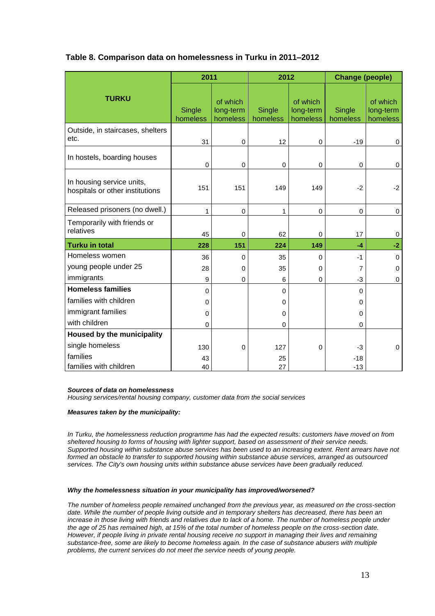|  |  |  |  | Table 8. Comparison data on homelessness in Turku in 2011-2012 |  |  |  |  |  |
|--|--|--|--|----------------------------------------------------------------|--|--|--|--|--|
|--|--|--|--|----------------------------------------------------------------|--|--|--|--|--|

|                                                              | 2011               |                                   | 2012               |                                   | <b>Change (people)</b> |                                   |
|--------------------------------------------------------------|--------------------|-----------------------------------|--------------------|-----------------------------------|------------------------|-----------------------------------|
| <b>TURKU</b>                                                 | Single<br>homeless | of which<br>long-term<br>homeless | Single<br>homeless | of which<br>long-term<br>homeless | Single<br>homeless     | of which<br>long-term<br>homeless |
| Outside, in staircases, shelters<br>etc.                     | 31                 | 0                                 | 12                 | 0                                 | $-19$                  | $\mathbf 0$                       |
| In hostels, boarding houses                                  | 0                  | 0                                 | 0                  | 0                                 | 0                      | 0                                 |
| In housing service units,<br>hospitals or other institutions | 151                | 151                               | 149                | 149                               | $-2$                   | $-2$                              |
| Released prisoners (no dwell.)                               | 1                  | $\mathbf 0$                       | 1                  | 0                                 | 0                      | $\mathbf 0$                       |
| Temporarily with friends or<br>relatives                     | 45                 | $\mathbf 0$                       | 62                 | 0                                 | 17                     | 0                                 |
| <b>Turku in total</b>                                        | 228                | 151                               | 224                | 149                               | $-4$                   | $-2$                              |
| Homeless women                                               | 36                 | 0                                 | 35                 | 0                                 | $-1$                   | $\mathbf 0$                       |
| young people under 25                                        | 28                 | 0                                 | 35                 | 0                                 | 7                      | $\Omega$                          |
| immigrants                                                   | 9                  | 0                                 | 6                  | 0                                 | -3                     | $\mathbf 0$                       |
| <b>Homeless families</b>                                     | $\Omega$           |                                   | $\Omega$           |                                   | $\Omega$               |                                   |
| families with children                                       | 0                  |                                   | 0                  |                                   | 0                      |                                   |
| immigrant families                                           | 0                  |                                   | 0                  |                                   | 0                      |                                   |
| with children                                                | $\Omega$           |                                   | $\Omega$           |                                   | 0                      |                                   |
| Housed by the municipality                                   |                    |                                   |                    |                                   |                        |                                   |
| single homeless                                              | 130                | 0                                 | 127                | 0                                 | -3                     | 0                                 |
| families<br>families with children                           | 43<br>40           |                                   | 25<br>27           |                                   | $-18$<br>$-13$         |                                   |

#### *Sources of data on homelessness*

*Housing services/rental housing company, customer data from the social services*

#### *Measures taken by the municipality:*

*In Turku, the homelessness reduction programme has had the expected results: customers have moved on from sheltered housing to forms of housing with lighter support, based on assessment of their service needs. Supported housing within substance abuse services has been used to an increasing extent. Rent arrears have not*  formed an obstacle to transfer to supported housing within substance abuse services, arranged as outsourced *services. The City's own housing units within substance abuse services have been gradually reduced.*

#### *Why the homelessness situation in your municipality has improved/worsened?*

*The number of homeless people remained unchanged from the previous year, as measured on the cross-section date. While the number of people living outside and in temporary shelters has decreased, there has been an*  increase in those living with friends and relatives due to lack of a home. The number of homeless people under *the age of 25 has remained high, at 15% of the total number of homeless people on the cross-section date. However, if people living in private rental housing receive no support in managing their lives and remaining substance-free, some are likely to become homeless again. In the case of substance abusers with multiple problems, the current services do not meet the service needs of young people.*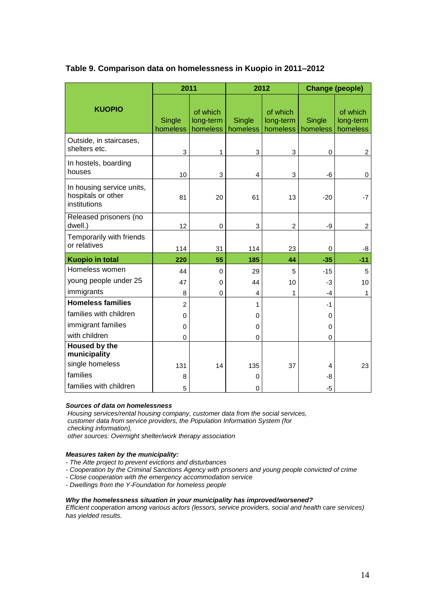|                                                                 | 2011               |                                   |                    | 2012                              |                    | <b>Change (people)</b>            |
|-----------------------------------------------------------------|--------------------|-----------------------------------|--------------------|-----------------------------------|--------------------|-----------------------------------|
| <b>KUOPIO</b>                                                   | Single<br>homeless | of which<br>long-term<br>homeless | Single<br>homeless | of which<br>long-term<br>homeless | Single<br>homeless | of which<br>long-term<br>homeless |
| Outside, in staircases,<br>shelters etc.                        | 3                  | 1                                 | 3                  | 3                                 | $\mathbf 0$        | $\overline{c}$                    |
| In hostels, boarding<br>houses                                  | 10                 | 3                                 | 4                  | 3                                 | -6                 | $\mathbf 0$                       |
| In housing service units,<br>hospitals or other<br>institutions | 81                 | 20                                | 61                 | 13                                | $-20$              | $-7$                              |
| Released prisoners (no<br>dwell.)                               | 12                 | $\pmb{0}$                         | 3                  | $\overline{c}$                    | -9                 | $\overline{c}$                    |
| Temporarily with friends<br>or relatives                        | 114                | 31                                | 114                | 23                                | 0                  | -8                                |
| <b>Kuopio in total</b>                                          | 220                | 55                                | 185                | 44                                | $-35$              | $-11$                             |
| Homeless women                                                  | 44                 | $\mathbf 0$                       | 29                 | 5                                 | $-15$              | 5                                 |
| young people under 25                                           | 47                 | 0                                 | 44                 | 10                                | -3                 | 10                                |
| immigrants                                                      | 8                  | 0                                 | 4                  | 1                                 | -4                 | 1                                 |
| <b>Homeless families</b>                                        | $\overline{2}$     |                                   | 1                  |                                   | $-1$               |                                   |
| families with children                                          | 0                  |                                   | 0                  |                                   | 0                  |                                   |
| immigrant families                                              | 0                  |                                   | 0                  |                                   | 0                  |                                   |
| with children                                                   | 0                  |                                   | 0                  |                                   | $\mathbf 0$        |                                   |
| <b>Housed by the</b><br>municipality                            |                    |                                   |                    |                                   |                    |                                   |
| single homeless                                                 | 131                | 14                                | 135                | 37                                | 4                  | 23                                |
| families                                                        | 8                  |                                   | 0                  |                                   | -8                 |                                   |
| families with children                                          | 5                  |                                   | $\mathbf 0$        |                                   | $-5$               |                                   |

## **Table 9. Comparison data on homelessness in Kuopio in 2011–2012**

#### *Sources of data on homelessness*

*Housing services/rental housing company, customer data from the social services, customer data from service providers, the Population Information System (for checking information),* 

*other sources: Overnight shelter/work therapy association*

#### *Measures taken by the municipality:*

- *The Atte project to prevent evictions and disturbances*
- *- Cooperation by the Criminal Sanctions Agency with prisoners and young people convicted of crime*
- *- Close cooperation with the emergency accommodation service*
- *- Dwellings from the Y-Foundation for homeless people*

#### *Why the homelessness situation in your municipality has improved/worsened?*

*Efficient cooperation among various actors (lessors, service providers, social and health care services) has yielded results.*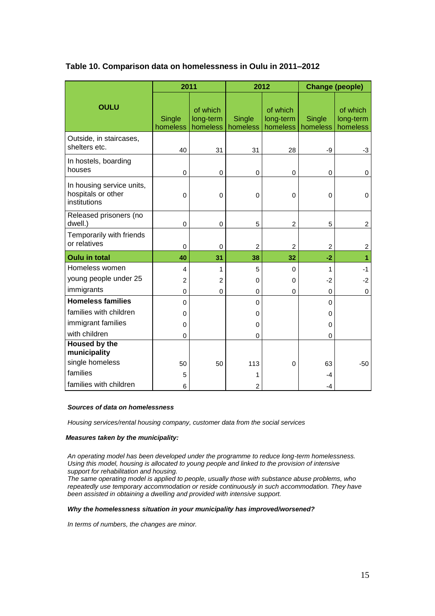|                                                                 | 2011               |                                   |                    | 2012                              |                           | <b>Change (people)</b>            |
|-----------------------------------------------------------------|--------------------|-----------------------------------|--------------------|-----------------------------------|---------------------------|-----------------------------------|
| <b>OULU</b>                                                     | Single<br>homeless | of which<br>long-term<br>homeless | Single<br>homeless | of which<br>long-term<br>homeless | <b>Single</b><br>homeless | of which<br>long-term<br>homeless |
| Outside, in staircases,<br>shelters etc.                        | 40                 | 31                                | 31                 | 28                                | -9                        | $-3$                              |
| In hostels, boarding<br>houses                                  | $\Omega$           | $\mathbf 0$                       | $\mathbf 0$        | $\mathbf 0$                       | $\mathbf 0$               | $\mathbf 0$                       |
| In housing service units,<br>hospitals or other<br>institutions | $\mathbf 0$        | $\mathbf 0$                       | $\mathbf 0$        | $\mathbf 0$                       | $\mathbf 0$               | $\mathbf 0$                       |
| Released prisoners (no<br>dwell.)                               | $\mathbf 0$        | $\mathbf 0$                       | 5                  | $\overline{2}$                    | 5                         | $\overline{2}$                    |
| Temporarily with friends<br>or relatives                        | 0                  | $\mathbf 0$                       | $\overline{c}$     | $\overline{c}$                    | $\overline{2}$            | $\overline{c}$                    |
| <b>Oulu in total</b>                                            | 40                 | 31                                | 38                 | 32                                | $-2$                      | 1                                 |
| Homeless women                                                  | 4                  | 1                                 | 5                  | 0                                 | 1                         | $-1$                              |
| young people under 25                                           | $\overline{2}$     | $\overline{2}$                    | $\Omega$           | $\Omega$                          | -2                        | $-2$                              |
| immigrants                                                      | 0                  | 0                                 | 0                  | 0                                 | $\Omega$                  | $\mathbf 0$                       |
| <b>Homeless families</b>                                        | $\mathbf 0$        |                                   | 0                  |                                   | $\Omega$                  |                                   |
| families with children                                          | 0                  |                                   | 0                  |                                   | 0                         |                                   |
| immigrant families                                              | 0                  |                                   | 0                  |                                   | 0                         |                                   |
| with children                                                   | 0                  |                                   | 0                  |                                   | 0                         |                                   |
| <b>Housed by the</b><br>municipality                            |                    |                                   |                    |                                   |                           |                                   |
| single homeless                                                 | 50                 | 50                                | 113                | $\mathbf 0$                       | 63                        | $-50$                             |
| families                                                        | 5                  |                                   | 1                  |                                   | -4                        |                                   |
| families with children                                          | 6                  |                                   | $\overline{2}$     |                                   | -4                        |                                   |

## **Table 10. Comparison data on homelessness in Oulu in 2011–2012**

#### *Sources of data on homelessness*

*Housing services/rental housing company, customer data from the social services*

#### *Measures taken by the municipality:*

*An operating model has been developed under the programme to reduce long-term homelessness. Using this model, housing is allocated to young people and linked to the provision of intensive support for rehabilitation and housing.* 

*The same operating model is applied to people, usually those with substance abuse problems, who repeatedly use temporary accommodation or reside continuously in such accommodation. They have been assisted in obtaining a dwelling and provided with intensive support.*

#### *Why the homelessness situation in your municipality has improved/worsened?*

*In terms of numbers, the changes are minor.*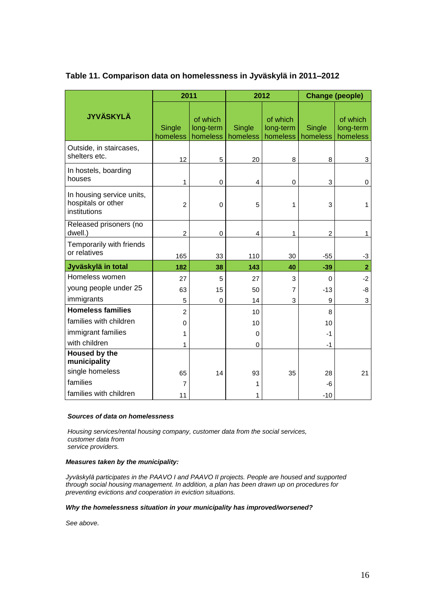|                                                                 | 2011               |                                   | 2012               |                                   | <b>Change (people)</b>    |                                   |
|-----------------------------------------------------------------|--------------------|-----------------------------------|--------------------|-----------------------------------|---------------------------|-----------------------------------|
| <b>JYVÄSKYLÄ</b>                                                | Single<br>homeless | of which<br>long-term<br>homeless | Single<br>homeless | of which<br>long-term<br>homeless | Single<br>homeless        | of which<br>long-term<br>homeless |
| Outside, in staircases,<br>shelters etc.                        | 12                 | 5                                 | 20                 | 8                                 | 8                         | 3                                 |
| In hostels, boarding<br>houses                                  | 1                  | 0                                 | 4                  | 0                                 | $\ensuremath{\mathsf{3}}$ | 0                                 |
| In housing service units,<br>hospitals or other<br>institutions | $\overline{2}$     | 0                                 | 5                  | $\mathbf{1}$                      | 3                         | $\mathbf{1}$                      |
| Released prisoners (no<br>dwell.)                               | $\overline{c}$     | 0                                 | $\overline{4}$     | 1                                 | $\overline{c}$            | $\mathbf{1}$                      |
| Temporarily with friends<br>or relatives                        | 165                | 33                                | 110                | 30                                | $-55$                     | -3                                |
| Jyväskylä in total                                              | 182                | 38                                | 143                | 40                                | $-39$                     | $\overline{2}$                    |
| Homeless women                                                  | 27                 | 5                                 | 27                 | 3                                 | $\Omega$                  | $-2$                              |
| young people under 25                                           | 63                 | 15                                | 50                 | 7                                 | $-13$                     | -8                                |
| immigrants                                                      | 5                  | 0                                 | 14                 | 3                                 | 9                         | 3                                 |
| <b>Homeless families</b>                                        | $\overline{2}$     |                                   | 10                 |                                   | 8                         |                                   |
| families with children                                          | $\mathbf 0$        |                                   | 10                 |                                   | 10                        |                                   |
| immigrant families                                              | 1                  |                                   | $\mathbf 0$        |                                   | $-1$                      |                                   |
| with children                                                   | 1                  |                                   | 0                  |                                   | $-1$                      |                                   |
| <b>Housed by the</b><br>municipality                            |                    |                                   |                    |                                   |                           |                                   |
| single homeless                                                 | 65                 | 14                                | 93                 | 35                                | 28                        | 21                                |
| families                                                        | $\overline{7}$     |                                   | 1                  |                                   | -6                        |                                   |
| families with children                                          | 11                 |                                   | 1                  |                                   | $-10$                     |                                   |

## **Table 11. Comparison data on homelessness in Jyväskylä in 2011–2012**

## *Sources of data on homelessness*

*Housing services/rental housing company, customer data from the social services, customer data from service providers.* 

*Measures taken by the municipality:*

*Jyväskylä participates in the PAAVO I and PAAVO II projects. People are housed and supported through social housing management. In addition, a plan has been drawn up on procedures for preventing evictions and cooperation in eviction situations.*

#### *Why the homelessness situation in your municipality has improved/worsened?*

*See above.*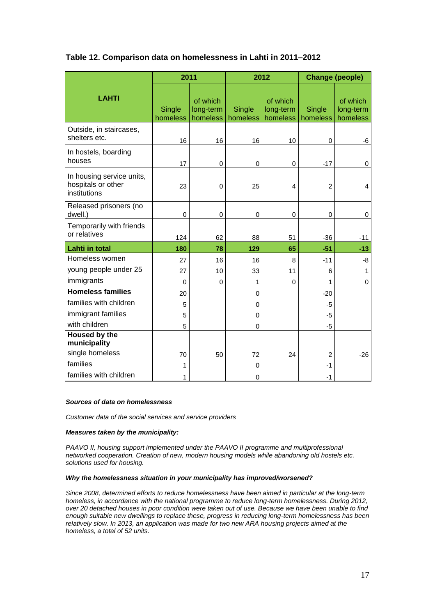|                                                                 | 2011               |                                   | 2012               |                                   | <b>Change (people)</b> |                                   |
|-----------------------------------------------------------------|--------------------|-----------------------------------|--------------------|-----------------------------------|------------------------|-----------------------------------|
| <b>LAHTI</b>                                                    | Single<br>homeless | of which<br>long-term<br>homeless | Single<br>homeless | of which<br>long-term<br>homeless | Single<br>homeless     | of which<br>long-term<br>homeless |
| Outside, in staircases,<br>shelters etc.                        | 16                 | 16                                | 16                 | 10                                | $\mathbf 0$            | -6                                |
| In hostels, boarding<br>houses                                  | 17                 | $\pmb{0}$                         | 0                  | 0                                 | $-17$                  | $\mathbf 0$                       |
| In housing service units,<br>hospitals or other<br>institutions | 23                 | $\mathbf 0$                       | 25                 | 4                                 | $\overline{c}$         | $\overline{4}$                    |
| Released prisoners (no<br>dwell.)                               | $\pmb{0}$          | 0                                 | 0                  | 0                                 | 0                      | 0                                 |
| Temporarily with friends<br>or relatives                        | 124                | 62                                | 88                 | 51                                | $-36$                  | $-11$                             |
| <b>Lahti in total</b>                                           | 180                | 78                                | 129                | 65                                | $-51$                  | $-13$                             |
| Homeless women                                                  | 27                 | 16                                | 16                 | 8                                 | $-11$                  | -8                                |
| young people under 25                                           | 27                 | 10                                | 33                 | 11                                | 6                      | 1                                 |
| immigrants                                                      | $\mathbf{0}$       | 0                                 | 1                  | 0                                 | 1                      | 0                                 |
| <b>Homeless families</b>                                        | 20                 |                                   | 0                  |                                   | $-20$                  |                                   |
| families with children                                          | 5                  |                                   | 0                  |                                   | $-5$                   |                                   |
| immigrant families                                              | 5                  |                                   | 0                  |                                   | $-5$                   |                                   |
| with children                                                   | 5                  |                                   | 0                  |                                   | $-5$                   |                                   |
| Housed by the<br>municipality                                   |                    |                                   |                    |                                   |                        |                                   |
| single homeless                                                 | 70                 | 50                                | 72                 | 24                                | $\overline{c}$         | $-26$                             |
| families                                                        | 1                  |                                   | 0                  |                                   | $-1$                   |                                   |
| families with children                                          | 1                  |                                   | 0                  |                                   | $-1$                   |                                   |

## **Table 12. Comparison data on homelessness in Lahti in 2011–2012**

#### *Sources of data on homelessness*

*Customer data of the social services and service providers*

#### *Measures taken by the municipality:*

*PAAVO II, housing support implemented under the PAAVO II programme and multiprofessional networked cooperation. Creation of new, modern housing models while abandoning old hostels etc. solutions used for housing.*

#### *Why the homelessness situation in your municipality has improved/worsened?*

*Since 2008, determined efforts to reduce homelessness have been aimed in particular at the long-term homeless, in accordance with the national programme to reduce long-term homelessness. During 2012, over 20 detached houses in poor condition were taken out of use. Because we have been unable to find enough suitable new dwellings to replace these, progress in reducing long-term homelessness has been relatively slow. In 2013, an application was made for two new ARA housing projects aimed at the homeless, a total of 52 units.*